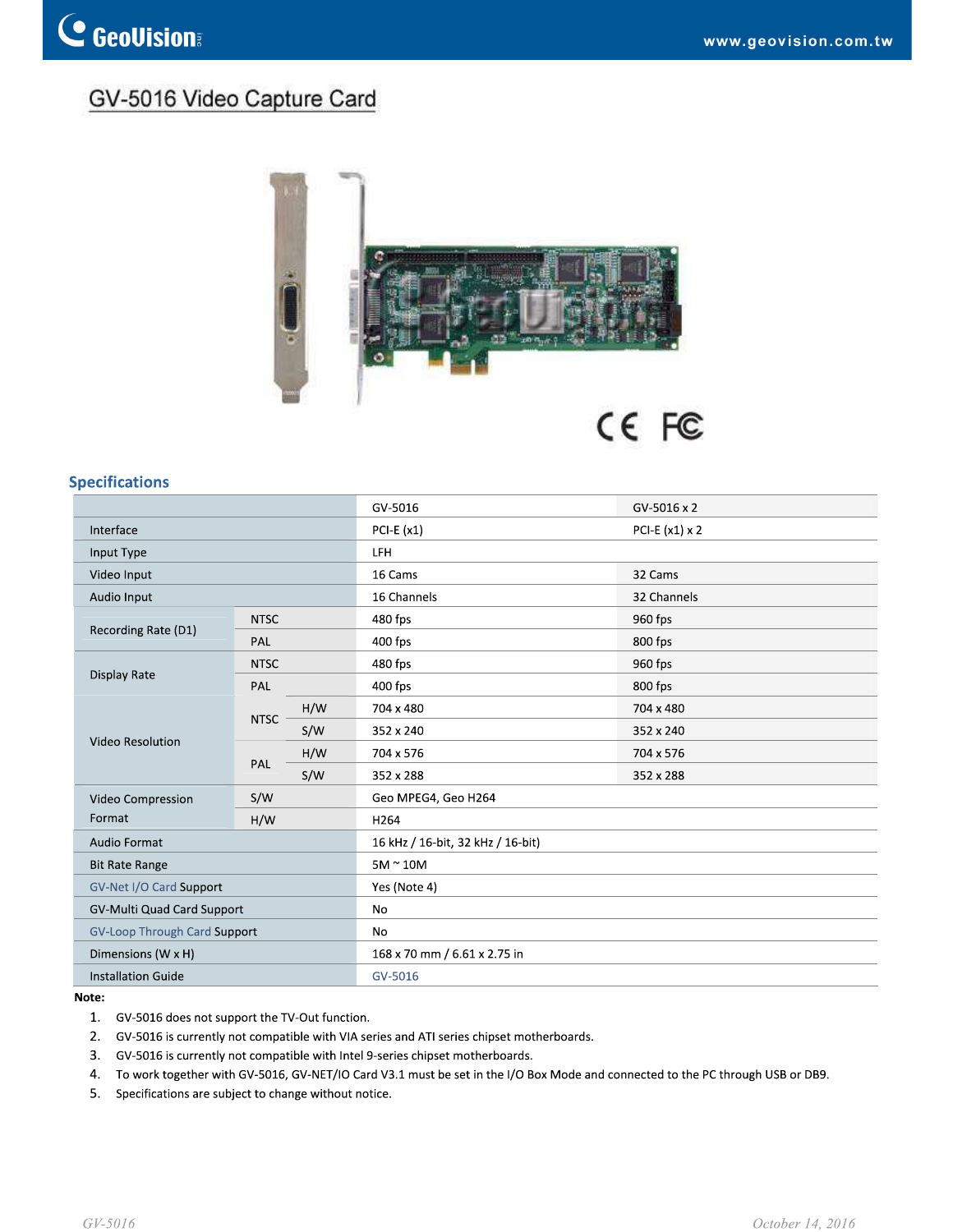## GV-5016 Video Capture Card



## **Specifications**

|                                   |             |     | GV-5016                           | GV-5016 x 2           |  |
|-----------------------------------|-------------|-----|-----------------------------------|-----------------------|--|
| Interface                         |             |     | PCI-E $(x1)$                      | PCI-E $(x1) \times 2$ |  |
| Input Type                        |             |     | <b>LFH</b>                        |                       |  |
| Video Input                       |             |     | 16 Cams                           | 32 Cams               |  |
| Audio Input                       |             |     | 16 Channels                       | 32 Channels           |  |
| Recording Rate (D1)               | <b>NTSC</b> |     | 480 fps                           | 960 fps               |  |
|                                   | PAL         |     | 400 fps                           | 800 fps               |  |
| Display Rate                      | <b>NTSC</b> |     | 480 fps                           | 960 fps               |  |
|                                   | PAL         |     | 400 fps                           | 800 fps               |  |
| Video Resolution                  | <b>NTSC</b> | H/W | 704 x 480                         | 704 x 480             |  |
|                                   |             | S/W | 352 x 240                         | 352 x 240             |  |
|                                   | PAL         | H/W | 704 x 576                         | 704 x 576             |  |
|                                   |             | S/W | 352 x 288                         | 352 x 288             |  |
| Video Compression<br>Format       | S/W         |     | Geo MPEG4, Geo H264               |                       |  |
|                                   | H/W         |     | H <sub>264</sub>                  |                       |  |
| <b>Audio Format</b>               |             |     | 16 kHz / 16-bit, 32 kHz / 16-bit) |                       |  |
| <b>Bit Rate Range</b>             |             |     | $5M \sim 10M$                     |                       |  |
| GV-Net I/O Card Support           |             |     | Yes (Note 4)                      |                       |  |
| <b>GV-Multi Quad Card Support</b> |             |     | No                                |                       |  |
| GV-Loop Through Card Support      |             |     | No                                |                       |  |
| Dimensions (W x H)                |             |     | 168 x 70 mm / 6.61 x 2.75 in      |                       |  |
| <b>Installation Guide</b>         |             |     | GV-5016                           |                       |  |

## Note:

- 1. GV-5016 does not support the TV-Out function.
- 2. GV-5016 is currently not compatible with VIA series and ATI series chipset motherboards.
- 3. GV-5016 is currently not compatible with Intel 9-series chipset motherboards.
- 4. To work together with GV-5016, GV-NET/IO Card V3.1 must be set in the I/O Box Mode and connected to the PC through USB or DB9.
- 5. Specifications are subject to change without notice.